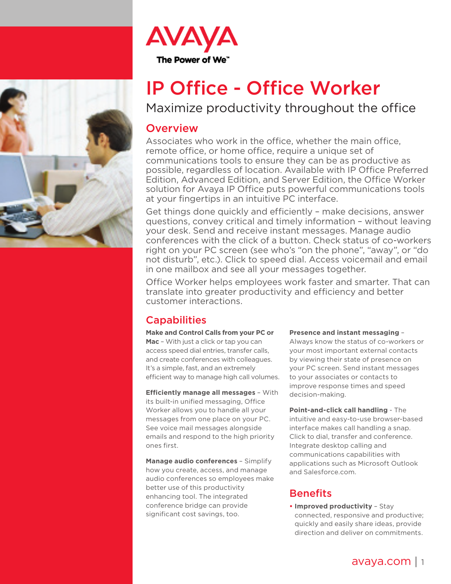



# IP Office - Office Worker

# Maximize productivity throughout the office

# **Overview**

Associates who work in the office, whether the main office, remote office, or home office, require a unique set of communications tools to ensure they can be as productive as possible, regardless of location. Available with IP Office Preferred Edition, Advanced Edition, and Server Edition, the Office Worker solution for Avaya IP Office puts powerful communications tools at your fingertips in an intuitive PC interface.

Get things done quickly and efficiently – make decisions, answer questions, convey critical and timely information – without leaving your desk. Send and receive instant messages. Manage audio conferences with the click of a button. Check status of co-workers right on your PC screen (see who's "on the phone", "away", or "do not disturb", etc.). Click to speed dial. Access voicemail and email in one mailbox and see all your messages together.

Office Worker helps employees work faster and smarter. That can translate into greater productivity and efficiency and better customer interactions.

# **Capabilities**

**Make and Control Calls from your PC or Mac** – With just a click or tap you can access speed dial entries, transfer calls, and create conferences with colleagues. It's a simple, fast, and an extremely efficient way to manage high call volumes.

**Efficiently manage all messages** – With its built-in unified messaging, Office Worker allows you to handle all your messages from one place on your PC. See voice mail messages alongside emails and respond to the high priority ones first.

**Manage audio conferences** – Simplify how you create, access, and manage audio conferences so employees make better use of this productivity enhancing tool. The integrated conference bridge can provide significant cost savings, too.

#### **Presence and instant messaging** –

Always know the status of co-workers or your most important external contacts by viewing their state of presence on your PC screen. Send instant messages to your associates or contacts to improve response times and speed decision-making.

**Point-and-click call handling** - The intuitive and easy-to-use browser-based interface makes call handling a snap. Click to dial, transfer and conference. Integrate desktop calling and communications capabilities with applications such as Microsoft Outlook and Salesforce.com.

# **Benefits**

**• Improved productivity** – Stay connected, responsive and productive; quickly and easily share ideas, provide direction and deliver on commitments.